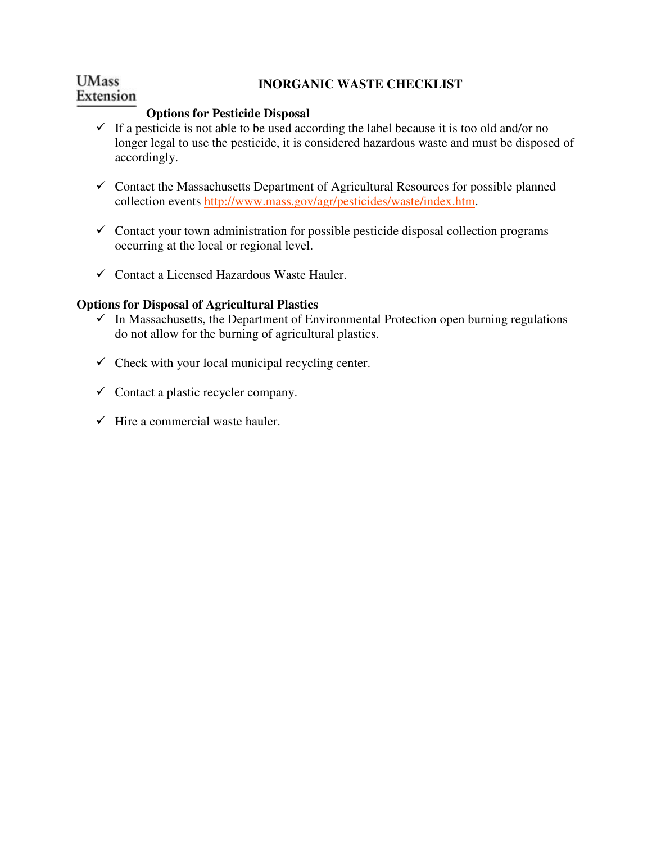#### **UMass INORGANIC WASTE CHECKLIST**  Extension

## **Options for Pesticide Disposal**

- $\checkmark$  If a pesticide is not able to be used according the label because it is too old and/or no longer legal to use the pesticide, it is considered hazardous waste and must be disposed of accordingly.
- $\checkmark$  Contact the Massachusetts Department of Agricultural Resources for possible planned collection events http://www.mass.gov/agr/pesticides/waste/index.htm.
- $\checkmark$  Contact your town administration for possible pesticide disposal collection programs occurring at the local or regional level.
- $\checkmark$  Contact a Licensed Hazardous Waste Hauler.

## **Options for Disposal of Agricultural Plastics**

- $\checkmark$  In Massachusetts, the Department of Environmental Protection open burning regulations do not allow for the burning of agricultural plastics.
- $\checkmark$  Check with your local municipal recycling center.
- $\checkmark$  Contact a plastic recycler company.
- $\checkmark$  Hire a commercial waste hauler.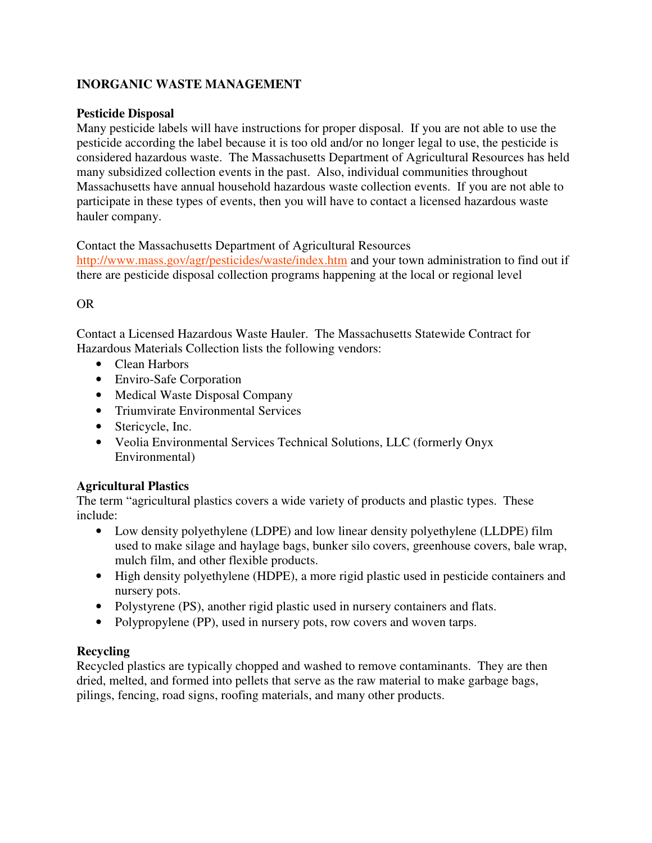# **INORGANIC WASTE MANAGEMENT**

## **Pesticide Disposal**

Many pesticide labels will have instructions for proper disposal. If you are not able to use the pesticide according the label because it is too old and/or no longer legal to use, the pesticide is considered hazardous waste. The Massachusetts Department of Agricultural Resources has held many subsidized collection events in the past. Also, individual communities throughout Massachusetts have annual household hazardous waste collection events. If you are not able to participate in these types of events, then you will have to contact a licensed hazardous waste hauler company.

Contact the Massachusetts Department of Agricultural Resources http://www.mass.gov/agr/pesticides/waste/index.htm and your town administration to find out if

there are pesticide disposal collection programs happening at the local or regional level

# OR

Contact a Licensed Hazardous Waste Hauler. The Massachusetts Statewide Contract for Hazardous Materials Collection lists the following vendors:

- Clean Harbors
- Enviro-Safe Corporation
- Medical Waste Disposal Company
- Triumvirate Environmental Services
- Stericycle, Inc.
- Veolia Environmental Services Technical Solutions, LLC (formerly Onyx Environmental)

## **Agricultural Plastics**

The term "agricultural plastics covers a wide variety of products and plastic types. These include:

- Low density polyethylene (LDPE) and low linear density polyethylene (LLDPE) film used to make silage and haylage bags, bunker silo covers, greenhouse covers, bale wrap, mulch film, and other flexible products.
- High density polyethylene (HDPE), a more rigid plastic used in pesticide containers and nursery pots.
- Polystyrene (PS), another rigid plastic used in nursery containers and flats.
- Polypropylene (PP), used in nursery pots, row covers and woven tarps.

## **Recycling**

Recycled plastics are typically chopped and washed to remove contaminants. They are then dried, melted, and formed into pellets that serve as the raw material to make garbage bags, pilings, fencing, road signs, roofing materials, and many other products.